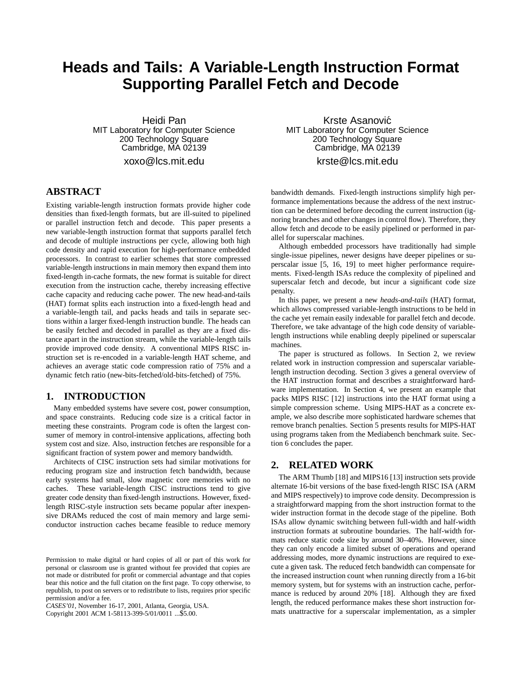# **Heads and Tails: A Variable-Length Instruction Format Supporting Parallel Fetch and Decode**

Heidi Pan MIT Laboratory for Computer Science 200 Technology Square Cambridge, MA 02139 xoxo@lcs.mit.edu

**ABSTRACT**

Existing variable-length instruction formats provide higher code densities than fixed-length formats, but are ill-suited to pipelined or parallel instruction fetch and decode. This paper presents a new variable-length instruction format that supports parallel fetch and decode of multiple instructions per cycle, allowing both high code density and rapid execution for high-performance embedded processors. In contrast to earlier schemes that store compressed variable-length instructions in main memory then expand them into fixed-length in-cache formats, the new format is suitable for direct execution from the instruction cache, thereby increasing effective cache capacity and reducing cache power. The new head-and-tails (HAT) format splits each instruction into a fixed-length head and a variable-length tail, and packs heads and tails in separate sections within a larger fixed-length instruction bundle. The heads can be easily fetched and decoded in parallel as they are a fixed distance apart in the instruction stream, while the variable-length tails provide improved code density. A conventional MIPS RISC instruction set is re-encoded in a variable-length HAT scheme, and achieves an average static code compression ratio of 75% and a dynamic fetch ratio (new-bits-fetched/old-bits-fetched) of 75%.

# **1. INTRODUCTION**

Many embedded systems have severe cost, power consumption, and space constraints. Reducing code size is a critical factor in meeting these constraints. Program code is often the largest consumer of memory in control-intensive applications, affecting both system cost and size. Also, instruction fetches are responsible for a significant fraction of system power and memory bandwidth.

Architects of CISC instruction sets had similar motivations for reducing program size and instruction fetch bandwidth, because early systems had small, slow magnetic core memories with no caches. These variable-length CISC instructions tend to give greater code density than fixed-length instructions. However, fixedlength RISC-style instruction sets became popular after inexpensive DRAMs reduced the cost of main memory and large semiconductor instruction caches became feasible to reduce memory

*CASES'01,* November 16-17, 2001, Atlanta, Georgia, USA.

Copyright 2001 ACM 1-58113-399-5/01/0011 ...\$5.00.

Krste Asanovic´ MIT Laboratory for Computer Science 200 Technology Square Cambridge, MA 02139 krste@lcs.mit.edu

bandwidth demands. Fixed-length instructions simplify high performance implementations because the address of the next instruction can be determined before decoding the current instruction (ignoring branches and other changes in control flow). Therefore, they allow fetch and decode to be easily pipelined or performed in parallel for superscalar machines.

Although embedded processors have traditionally had simple single-issue pipelines, newer designs have deeper pipelines or superscalar issue [5, 16, 19] to meet higher performance requirements. Fixed-length ISAs reduce the complexity of pipelined and superscalar fetch and decode, but incur a significant code size penalty.

In this paper, we present a new *heads-and-tails* (HAT) format, which allows compressed variable-length instructions to be held in the cache yet remain easily indexable for parallel fetch and decode. Therefore, we take advantage of the high code density of variablelength instructions while enabling deeply pipelined or superscalar machines.

The paper is structured as follows. In Section 2, we review related work in instruction compression and superscalar variablelength instruction decoding. Section 3 gives a general overview of the HAT instruction format and describes a straightforward hardware implementation. In Section 4, we present an example that packs MIPS RISC [12] instructions into the HAT format using a simple compression scheme. Using MIPS-HAT as a concrete example, we also describe more sophisticated hardware schemes that remove branch penalties. Section 5 presents results for MIPS-HAT using programs taken from the Mediabench benchmark suite. Section 6 concludes the paper.

## **2. RELATED WORK**

The ARM Thumb [18] and MIPS16 [13] instruction sets provide alternate 16-bit versions of the base fixed-length RISC ISA (ARM and MIPS respectively) to improve code density. Decompression is a straightforward mapping from the short instruction format to the wider instruction format in the decode stage of the pipeline. Both ISAs allow dynamic switching between full-width and half-width instruction formats at subroutine boundaries. The half-width formats reduce static code size by around 30–40%. However, since they can only encode a limited subset of operations and operand addressing modes, more dynamic instructions are required to execute a given task. The reduced fetch bandwidth can compensate for the increased instruction count when running directly from a 16-bit memory system, but for systems with an instruction cache, performance is reduced by around 20% [18]. Although they are fixed length, the reduced performance makes these short instruction formats unattractive for a superscalar implementation, as a simpler

Permission to make digital or hard copies of all or part of this work for personal or classroom use is granted without fee provided that copies are not made or distributed for profit or commercial advantage and that copies bear this notice and the full citation on the first page. To copy otherwise, to republish, to post on servers or to redistribute to lists, requires prior specific permission and/or a fee.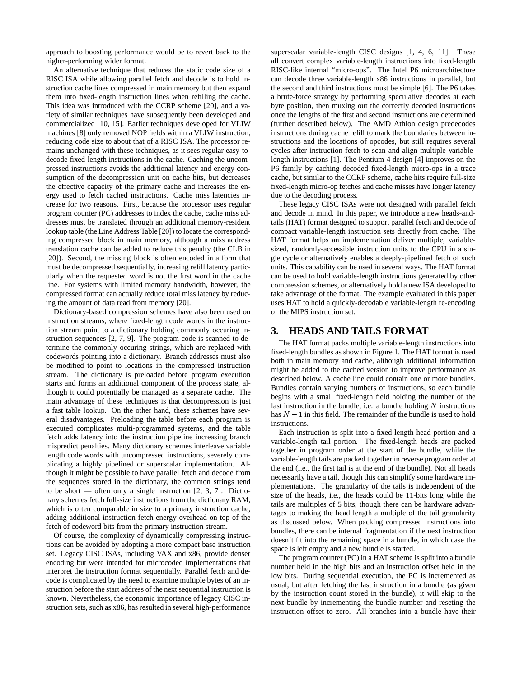approach to boosting performance would be to revert back to the higher-performing wider format.

An alternative technique that reduces the static code size of a RISC ISA while allowing parallel fetch and decode is to hold instruction cache lines compressed in main memory but then expand them into fixed-length instruction lines when refilling the cache. This idea was introduced with the CCRP scheme [20], and a variety of similar techniques have subsequently been developed and commercialized [10, 15]. Earlier techniques developed for VLIW machines [8] only removed NOP fields within a VLIW instruction, reducing code size to about that of a RISC ISA. The processor remains unchanged with these techniques, as it sees regular easy-todecode fixed-length instructions in the cache. Caching the uncompressed instructions avoids the additional latency and energy consumption of the decompression unit on cache hits, but decreases the effective capacity of the primary cache and increases the energy used to fetch cached instructions. Cache miss latencies increase for two reasons. First, because the processor uses regular program counter (PC) addresses to index the cache, cache miss addresses must be translated through an additional memory-resident lookup table (the Line Address Table [20]) to locate the corresponding compressed block in main memory, although a miss address translation cache can be added to reduce this penalty (the CLB in [20]). Second, the missing block is often encoded in a form that must be decompressed sequentially, increasing refill latency particularly when the requested word is not the first word in the cache line. For systems with limited memory bandwidth, however, the compressed format can actually reduce total miss latency by reducing the amount of data read from memory [20].

Dictionary-based compression schemes have also been used on instruction streams, where fixed-length code words in the instruction stream point to a dictionary holding commonly occuring instruction sequences [2, 7, 9]. The program code is scanned to determine the commonly occuring strings, which are replaced with codewords pointing into a dictionary. Branch addresses must also be modified to point to locations in the compressed instruction stream. The dictionary is preloaded before program execution starts and forms an additional component of the process state, although it could potentially be managed as a separate cache. The main advantage of these techniques is that decompression is just a fast table lookup. On the other hand, these schemes have several disadvantages. Preloading the table before each program is executed complicates multi-programmed systems, and the table fetch adds latency into the instruction pipeline increasing branch mispredict penalties. Many dictionary schemes interleave variable length code words with uncompressed instructions, severely complicating a highly pipelined or superscalar implementation. Although it might be possible to have parallel fetch and decode from the sequences stored in the dictionary, the common strings tend to be short — often only a single instruction  $[2, 3, 7]$ . Dictionary schemes fetch full-size instructions from the dictionary RAM, which is often comparable in size to a primary instruction cache, adding additional instruction fetch energy overhead on top of the fetch of codeword bits from the primary instruction stream.

Of course, the complexity of dynamically compressing instructions can be avoided by adopting a more compact base instruction set. Legacy CISC ISAs, including VAX and x86, provide denser encoding but were intended for microcoded implementations that interpret the instruction format sequentially. Parallel fetch and decode is complicated by the need to examine multiple bytes of an instruction before the start address of the next sequential instruction is known. Nevertheless, the economic importance of legacy CISC instruction sets, such as x86, has resulted in several high-performance

superscalar variable-length CISC designs [1, 4, 6, 11]. These all convert complex variable-length instructions into fixed-length RISC-like internal "micro-ops". The Intel P6 microarchitecture can decode three variable-length x86 instructions in parallel, but the second and third instructions must be simple [6]. The P6 takes a brute-force strategy by performing speculative decodes at each byte position, then muxing out the correctly decoded instructions once the lengths of the first and second instructions are determined (further described below). The AMD Athlon design predecodes instructions during cache refill to mark the boundaries between instructions and the locations of opcodes, but still requires several cycles after instruction fetch to scan and align multiple variablelength instructions [1]. The Pentium-4 design [4] improves on the P6 family by caching decoded fixed-length micro-ops in a trace cache, but similar to the CCRP scheme, cache hits require full-size fixed-length micro-op fetches and cache misses have longer latency due to the decoding process.

These legacy CISC ISAs were not designed with parallel fetch and decode in mind. In this paper, we introduce a new heads-andtails (HAT) format designed to support parallel fetch and decode of compact variable-length instruction sets directly from cache. The HAT format helps an implementation deliver multiple, variablesized, randomly-accessible instruction units to the CPU in a single cycle or alternatively enables a deeply-pipelined fetch of such units. This capability can be used in several ways. The HAT format can be used to hold variable-length instructions generated by other compression schemes, or alternatively hold a new ISA developed to take advantage of the format. The example evaluated in this paper uses HAT to hold a quickly-decodable variable-length re-encoding of the MIPS instruction set.

# **3. HEADS AND TAILS FORMAT**

The HAT format packs multiple variable-length instructions into fixed-length bundles as shown in Figure 1. The HAT format is used both in main memory and cache, although additional information might be added to the cached version to improve performance as described below. A cache line could contain one or more bundles. Bundles contain varying numbers of instructions, so each bundle begins with a small fixed-length field holding the number of the last instruction in the bundle, i.e. a bundle holding  $N$  instructions has  $N - 1$  in this field. The remainder of the bundle is used to hold instructions.

Each instruction is split into a fixed-length head portion and a variable-length tail portion. The fixed-length heads are packed together in program order at the start of the bundle, while the variable-length tails are packed together in reverse program order at the end (i.e., the first tail is at the end of the bundle). Not all heads necessarily have a tail, though this can simplify some hardware implementations. The granularity of the tails is independent of the size of the heads, i.e., the heads could be 11-bits long while the tails are multiples of 5 bits, though there can be hardware advantages to making the head length a multiple of the tail granularity as discussed below. When packing compressed instructions into bundles, there can be internal fragmentation if the next instruction doesn't fit into the remaining space in a bundle, in which case the space is left empty and a new bundle is started.

The program counter (PC) in a HAT scheme is split into a bundle number held in the high bits and an instruction offset held in the low bits. During sequential execution, the PC is incremented as usual, but after fetching the last instruction in a bundle (as given by the instruction count stored in the bundle), it will skip to the next bundle by incrementing the bundle number and reseting the instruction offset to zero. All branches into a bundle have their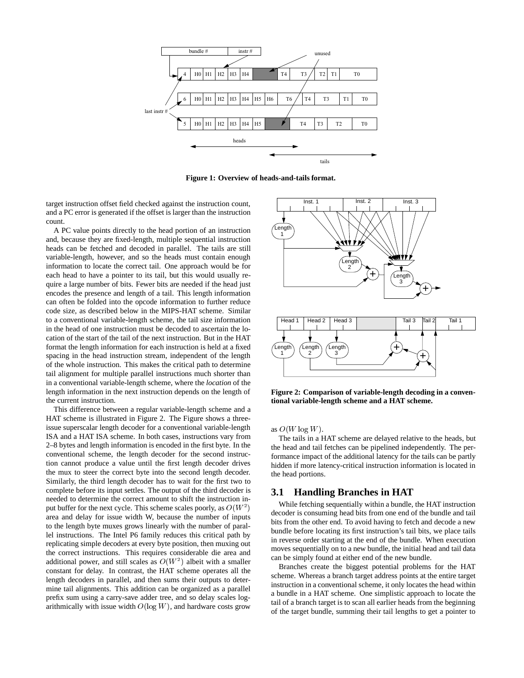

**Figure 1: Overview of heads-and-tails format.**

target instruction offset field checked against the instruction count, and a PC error is generated if the offset is larger than the instruction count.

A PC value points directly to the head portion of an instruction and, because they are fixed-length, multiple sequential instruction heads can be fetched and decoded in parallel. The tails are still variable-length, however, and so the heads must contain enough information to locate the correct tail. One approach would be for each head to have a pointer to its tail, but this would usually require a large number of bits. Fewer bits are needed if the head just encodes the presence and length of a tail. This length information can often be folded into the opcode information to further reduce code size, as described below in the MIPS-HAT scheme. Similar to a conventional variable-length scheme, the tail size information in the head of one instruction must be decoded to ascertain the location of the start of the tail of the next instruction. But in the HAT format the length information for each instruction is held at a fixed spacing in the head instruction stream, independent of the length of the whole instruction. This makes the critical path to determine tail alignment for multiple parallel instructions much shorter than in a conventional variable-length scheme, where the *location* of the length information in the next instruction depends on the length of the current instruction.

This difference between a regular variable-length scheme and a HAT scheme is illustrated in Figure 2. The Figure shows a threeissue superscalar length decoder for a conventional variable-length ISA and a HAT ISA scheme. In both cases, instructions vary from 2–8 bytes and length information is encoded in the first byte. In the conventional scheme, the length decoder for the second instruction cannot produce a value until the first length decoder drives the mux to steer the correct byte into the second length decoder. Similarly, the third length decoder has to wait for the first two to complete before its input settles. The output of the third decoder is needed to determine the correct amount to shift the instruction input buffer for the next cycle. This scheme scales poorly, as  $O(W^2)$ area and delay for issue width W, because the number of inputs to the length byte muxes grows linearly with the number of parallel instructions. The Intel P6 family reduces this critical path by replicating simple decoders at every byte position, then muxing out the correct instructions. This requires considerable die area and additional power, and still scales as  $O(W^2)$  albeit with a smaller constant for delay. In contrast, the HAT scheme operates all the length decoders in parallel, and then sums their outputs to determine tail alignments. This addition can be organized as a parallel prefix sum using a carry-save adder tree, and so delay scales logarithmically with issue width  $O(\log W)$ , and hardware costs grow



**Figure 2: Comparison of variable-length decoding in a conventional variable-length scheme and a HAT scheme.**

as  $O(W \log W)$ .

The tails in a HAT scheme are delayed relative to the heads, but the head and tail fetches can be pipelined independently. The performance impact of the additional latency for the tails can be partly hidden if more latency-critical instruction information is located in the head portions.

## **3.1 Handling Branches in HAT**

 decoder is consuming head bits from one end of the bundle and tail While fetching sequentially within a bundle, the HAT instruction bits from the other end. To avoid having to fetch and decode a new bundle before locating its first instruction's tail bits, we place tails in reverse order starting at the end of the bundle. When execution moves sequentially on to a new bundle, the initial head and tail data can be simply found at either end of the new bundle.

Branches create the biggest potential problems for the HAT scheme. Whereas a branch target address points at the entire target instruction in a conventional scheme, it only locates the head within a bundle in a HAT scheme. One simplistic approach to locate the tail of a branch target is to scan all earlier heads from the beginning of the target bundle, summing their tail lengths to get a pointer to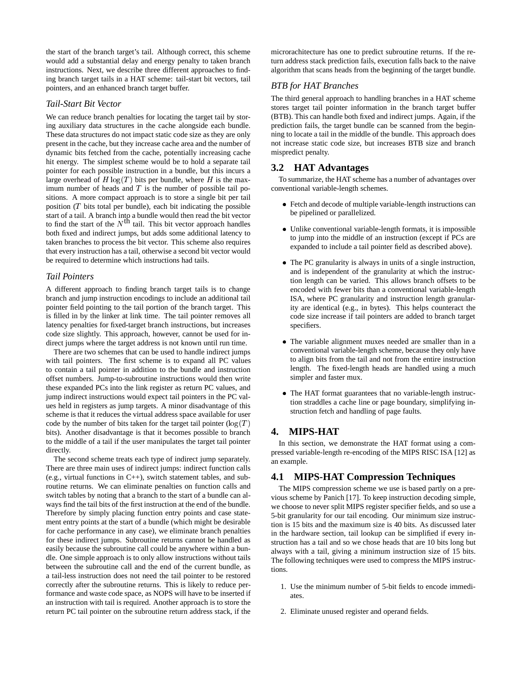the start of the branch target's tail. Although correct, this scheme would add a substantial delay and energy penalty to taken branch instructions. Next, we describe three different approaches to finding branch target tails in a HAT scheme: tail-start bit vectors, tail pointers, and an enhanced branch target buffer.

#### *Tail-Start Bit Vector*

We can reduce branch penalties for locating the target tail by storing auxiliary data structures in the cache alongside each bundle. These data structures do not impact static code size as they are only present in the cache, but they increase cache area and the number of dynamic bits fetched from the cache, potentially increasing cache hit energy. The simplest scheme would be to hold a separate tail pointer for each possible instruction in a bundle, but this incurs a large overhead of  $H \log(T)$  bits per bundle, where H is the maximum number of heads and  $T$  is the number of possible tail positions. A more compact approach is to store a single bit per tail position  $(T$  bits total per bundle), each bit indicating the possible start of a tail. A branch into a bundle would then read the bit vector to find the start of the  $N<sup>th</sup>$  tail. This bit vector approach handles both fixed and indirect jumps, but adds some additional latency to taken branches to process the bit vector. This scheme also requires that every instruction has a tail, otherwise a second bit vector would be required to determine which instructions had tails.

#### *Tail Pointers*

A different approach to finding branch target tails is to change branch and jump instruction encodings to include an additional tail pointer field pointing to the tail portion of the branch target. This is filled in by the linker at link time. The tail pointer removes all latency penalties for fixed-target branch instructions, but increases code size slightly. This approach, however, cannot be used for indirect jumps where the target address is not known until run time.

There are two schemes that can be used to handle indirect jumps with tail pointers. The first scheme is to expand all PC values to contain a tail pointer in addition to the bundle and instruction offset numbers. Jump-to-subroutine instructions would then write these expanded PCs into the link register as return PC values, and jump indirect instructions would expect tail pointers in the PC values held in registers as jump targets. A minor disadvantage of this scheme is that it reduces the virtual address space available for user code by the number of bits taken for the target tail pointer  $(\log(T))$ bits). Another disadvantage is that it becomes possible to branch to the middle of a tail if the user manipulates the target tail pointer directly.

The second scheme treats each type of indirect jump separately. There are three main uses of indirect jumps: indirect function calls (e.g., virtual functions in  $C_{++}$ ), switch statement tables, and subroutine returns. We can eliminate penalties on function calls and switch tables by noting that a branch to the start of a bundle can always find the tail bits of the first instruction at the end of the bundle. Therefore by simply placing function entry points and case statement entry points at the start of a bundle (which might be desirable for cache performance in any case), we eliminate branch penalties for these indirect jumps. Subroutine returns cannot be handled as easily because the subroutine call could be anywhere within a bundle. One simple approach is to only allow instructions without tails between the subroutine call and the end of the current bundle, as a tail-less instruction does not need the tail pointer to be restored correctly after the subroutine returns. This is likely to reduce performance and waste code space, as NOPS will have to be inserted if an instruction with tail is required. Another approach is to store the return PC tail pointer on the subroutine return address stack, if the microrachitecture has one to predict subroutine returns. If the return address stack prediction fails, execution falls back to the naive algorithm that scans heads from the beginning of the target bundle.

#### *BTB for HAT Branches*

The third general approach to handling branches in a HAT scheme stores target tail pointer information in the branch target buffer (BTB). This can handle both fixed and indirect jumps. Again, if the prediction fails, the target bundle can be scanned from the beginning to locate a tail in the middle of the bundle. This approach does not increase static code size, but increases BTB size and branch mispredict penalty.

### **3.2 HAT Advantages**

To summarize, the HAT scheme has a number of advantages over conventional variable-length schemes.

- Fetch and decode of multiple variable-length instructions can be pipelined or parallelized.
- Unlike conventional variable-length formats, it is impossible to jump into the middle of an instruction (except if PCs are expanded to include a tail pointer field as described above).
- The PC granularity is always in units of a single instruction, and is independent of the granularity at which the instruction length can be varied. This allows branch offsets to be encoded with fewer bits than a conventional variable-length ISA, where PC granularity and instruction length granularity are identical (e.g., in bytes). This helps counteract the code size increase if tail pointers are added to branch target specifiers.
- The variable alignment muxes needed are smaller than in a conventional variable-length scheme, because they only have to align bits from the tail and not from the entire instruction length. The fixed-length heads are handled using a much simpler and faster mux.
- The HAT format guarantees that no variable-length instruction straddles a cache line or page boundary, simplifying instruction fetch and handling of page faults.

## **4. MIPS-HAT**

In this section, we demonstrate the HAT format using a compressed variable-length re-encoding of the MIPS RISC ISA [12] as an example.

## **4.1 MIPS-HAT Compression Techniques**

The MIPS compression scheme we use is based partly on a previous scheme by Panich [17]. To keep instruction decoding simple, we choose to never split MIPS register specifier fields, and so use a 5-bit granularity for our tail encoding. Our minimum size instruction is 15 bits and the maximum size is 40 bits. As discussed later in the hardware section, tail lookup can be simplified if every instruction has a tail and so we chose heads that are 10 bits long but always with a tail, giving a minimum instruction size of 15 bits. The following techniques were used to compress the MIPS instructions.

- 1. Use the minimum number of 5-bit fields to encode immediates.
- 2. Eliminate unused register and operand fields.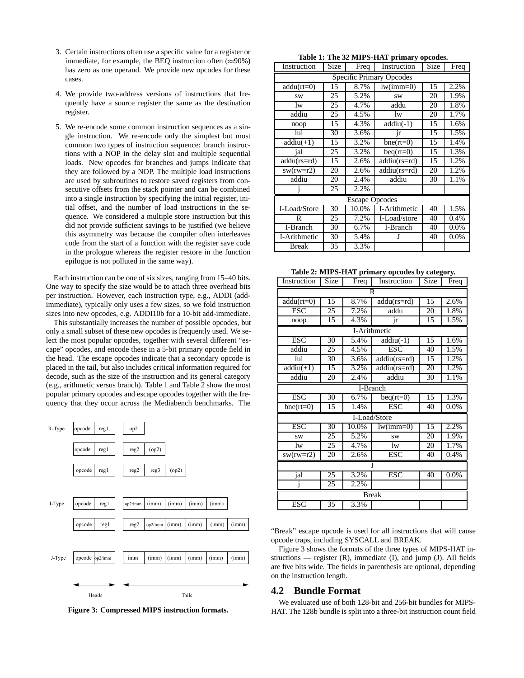- 3. Certain instructions often use a specific value for a register or immediate, for example, the BEQ instruction often  $(\approx 90\%)$ has zero as one operand. We provide new opcodes for these cases.
- 4. We provide two-address versions of instructions that frequently have a source register the same as the destination register.
- 5. We re-encode some common instruction sequences as a single instruction. We re-encode only the simplest but most common two types of instruction sequence: branch instructions with a NOP in the delay slot and multiple sequential loads. New opcodes for branches and jumps indicate that they are followed by a NOP. The multiple load instructions are used by subroutines to restore saved registers from consecutive offsets from the stack pointer and can be combined into a single instruction by specifying the initial register, initial offset, and the number of load instructions in the sequence. We considered a multiple store instruction but this did not provide sufficient savings to be justified (we believe this asymmetry was because the compiler often interleaves code from the start of a function with the register save code in the prologue whereas the register restore in the function epilogue is not polluted in the same way).

Each instruction can be one of six sizes, ranging from 15–40 bits. One way to specify the size would be to attach three overhead bits per instruction. However, each instruction type, e.g., ADDI (addimmediate), typically only uses a few sizes, so we fold instruction sizes into new opcodes, e.g. ADDI10b for a 10-bit add-immediate.

This substantially increases the number of possible opcodes, but only a small subset of these new opcodes is frequently used. We select the most popular opcodes, together with several different "escape" opcodes, and encode these in a 5-bit primary opcode field in the head. The escape opcodes indicate that a secondary opcode is placed in the tail, but also includes critical information required for decode, such as the size of the instruction and its general category (e.g., arithmetic versus branch). Table 1 and Table 2 show the most popular primary opcodes and escape opcodes together with the frequency that they occur across the Mediabench benchmarks. The



**Figure 3: Compressed MIPS instruction formats.**

**Table 1: The 32 MIPS-HAT primary opcodes.**

| Instruction              | Size | Freq  | Instruction  | Size | Freq    |  |
|--------------------------|------|-------|--------------|------|---------|--|
| Specific Primary Opcodes |      |       |              |      |         |  |
| $addu(rt=0)$             | 15   | 8.7%  | $lw(imm=0)$  | 15   | 2.2%    |  |
| <b>SW</b>                | 25   | 5.2%  | <b>SW</b>    | 20   | 1.9%    |  |
| lw                       | 25   | 4.7%  | addu         | 20   | 1.8%    |  |
| addiu                    | 25   | 4.5%  | lw           | 20   | 1.7%    |  |
| noop                     | 15   | 4.3%  | $addiu(-1)$  | 15   | 1.6%    |  |
| lui                      | 30   | 3.6%  | ir           | 15   | 1.5%    |  |
| $addiu(+1)$              | 15   | 3.2%  | $bne(rt=0)$  | 15   | 1.4%    |  |
| ial                      | 25   | 3.2%  | $beq(rt=0)$  | 15   | 1.3%    |  |
| $addu(rs=rd)$            | 15   | 2.6%  | addiu(rs=rd) | 15   | 1.2%    |  |
| $sw(rw=r2)$              | 20   | 2.6%  | addiu(rs=rd) | 20   | 1.2%    |  |
| addiu                    | 20   | 2.4%  | addiu        | 30   | 1.1%    |  |
|                          | 25   | 2.2%  |              |      |         |  |
| <b>Escape Opcodes</b>    |      |       |              |      |         |  |
| I-Load/Store             | 30   | 10.0% | I-Arithmetic | 40   | 1.5%    |  |
| R                        | 25   | 7.2%  | I-Load/store | 40   | 0.4%    |  |
| I-Branch                 | 30   | 6.7%  | I-Branch     | 40   | $0.0\%$ |  |
| I-Arithmetic             | 30   | 5.4%  | J            | 40   | 0.0%    |  |
| <b>Break</b>             | 35   | 3.3%  |              |      |         |  |

**Table 2: MIPS-HAT primary opcodes by category.**

| Instruction   | Size            | Freq  | <u> 1</u><br>Instruction | Size | Freq               |  |
|---------------|-----------------|-------|--------------------------|------|--------------------|--|
| R             |                 |       |                          |      |                    |  |
| $addu(rt=0)$  | 15              | 8.7%  | $addu(rs=rd)$            | 15   | 2.6%               |  |
| <b>ESC</b>    | 25              | 7.2%  | addu                     | 20   | 1.8%               |  |
| noop          | 15              | 4.3%  | 1r                       | 15   | 1.5%               |  |
|               |                 |       | I-Arithmetic             |      |                    |  |
| <b>ESC</b>    | 30              | 5.4%  | $addiu(-1)$              | 15   | 1.6%               |  |
| addiu         | 25              | 4.5%  | <b>ESC</b>               | 40   | $\overline{1.5\%}$ |  |
| lui           | 30              | 3.6%  | $addiu(rs=rd)$           | 15   | 1.2%               |  |
| $addiu(+1)$   | $\overline{15}$ | 3.2%  | $addiu(rs=rd)$           | 20   | 1.2%               |  |
| addiu         | 20              | 2.4%  | addiu                    | 30   | 1.1%               |  |
| I-Branch      |                 |       |                          |      |                    |  |
| <b>ESC</b>    | 30              | 6.7%  | $beq(rt=0)$              | 15   | 1.3%               |  |
| $bne(rt=0)$   | 15              | 1.4%  | <b>ESC</b>               | 40   | $0.0\%$            |  |
|               |                 |       | I-Load/Store             |      |                    |  |
| <b>ESC</b>    | 30              | 10.0% | $lw(imm=0)$              | 15   | 2.2%               |  |
| <b>SW</b>     | 25              | 5.2%  | <b>SW</b>                | 20   | 1.9%               |  |
| $\mathsf{lw}$ | 25              | 4.7%  | lw                       | 20   | 1.7%               |  |
| $sw(rw=r2)$   | 20              | 2.6%  | ESC                      | 40   | 0.4%               |  |
| I             |                 |       |                          |      |                    |  |
| jal           | 25              | 3.2%  | <b>ESC</b>               | 40   | 0.0%               |  |
| $\mathbf{1}$  | 25              | 2.2%  |                          |      |                    |  |
| <b>Break</b>  |                 |       |                          |      |                    |  |
| <b>ESC</b>    | 35              | 3.3%  |                          |      |                    |  |

"Break" escape opcode is used for all instructions that will cause opcode traps, including SYSCALL and BREAK.

Figure 3 shows the formats of the three types of MIPS-HAT instructions — register  $(R)$ , immediate  $(I)$ , and jump  $(J)$ . All fields are five bits wide. The fields in parenthesis are optional, depending on the instruction length.

#### **4.2 Bundle Format**

We evaluated use of both 128-bit and 256-bit bundles for MIPS-HAT. The 128b bundle is split into a three-bit instruction count field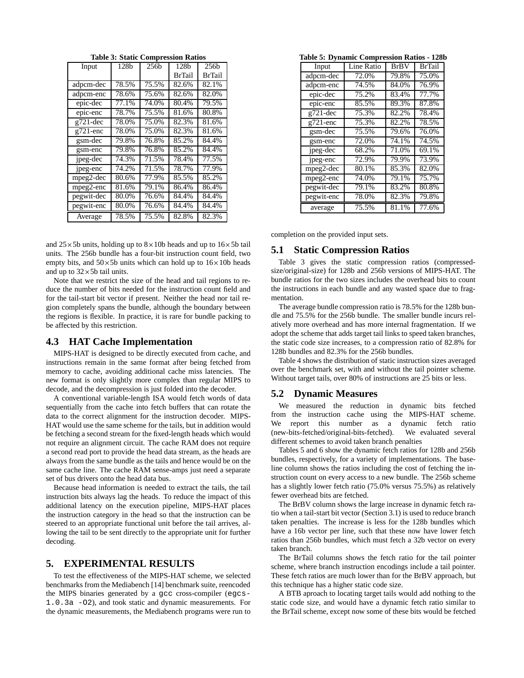| Input       | 128b  | 256b  | 128 <sub>b</sub> | 256b          |
|-------------|-------|-------|------------------|---------------|
|             |       |       | <b>BrTail</b>    | <b>BrTail</b> |
| adpcm-dec   | 78.5% | 75.5% | 82.6%            | 82.1%         |
| adpcm-enc   | 78.6% | 75.6% | 82.6%            | 82.0%         |
| epic-dec    | 77.1% | 74.0% | 80.4%            | 79.5%         |
| epic-enc    | 78.7% | 75.5% | 81.6%            | 80.8%         |
| $g721$ -dec | 78.0% | 75.0% | 82.3%            | 81.6%         |
| $g721$ -enc | 78.0% | 75.0% | 82.3%            | 81.6%         |
| gsm-dec     | 79.8% | 76.8% | 85.2%            | 84.4%         |
| gsm-enc     | 79.8% | 76.8% | 85.2%            | 84.4%         |
| jpeg-dec    | 74.3% | 71.5% | 78.4%            | 77.5%         |
| ipeg-enc    | 74.2% | 71.5% | 78.7%            | 77.9%         |
| mpeg2-dec   | 80.6% | 77.9% | 85.5%            | 85.2%         |
| mpeg2-enc   | 81.6% | 79.1% | 86.4%            | 86.4%         |
| pegwit-dec  | 80.0% | 76.6% | 84.4%            | 84.4%         |
| pegwit-enc  | 80.0% | 76.6% | 84.4%            | 84.4%         |
| Average     | 78.5% | 75.5% | 82.8%            | 82.3%         |

**Table 3: Static Compression Ratios**

and  $25 \times 5b$  units, holding up to  $8 \times 10b$  heads and up to  $16 \times 5b$  tail units. The 256b bundle has a four-bit instruction count field, two empty bits, and  $50 \times 5b$  units which can hold up to  $16 \times 10b$  heads and up to  $32 \times 5b$  tail units.

Note that we restrict the size of the head and tail regions to reduce the number of bits needed for the instruction count field and for the tail-start bit vector if present. Neither the head nor tail region completely spans the bundle, although the boundary between the regions is flexible. In practice, it is rare for bundle packing to be affected by this restriction.

### **4.3 HAT Cache Implementation**

MIPS-HAT is designed to be directly executed from cache, and instructions remain in the same format after being fetched from memory to cache, avoiding additional cache miss latencies. The new format is only slightly more complex than regular MIPS to decode, and the decompression is just folded into the decoder.

A conventional variable-length ISA would fetch words of data sequentially from the cache into fetch buffers that can rotate the data to the correct alignment for the instruction decoder. MIPS-HAT would use the same scheme for the tails, but in addition would be fetching a second stream for the fixed-length heads which would not require an alignment circuit. The cache RAM does not require a second read port to provide the head data stream, as the heads are always from the same bundle as the tails and hence would be on the same cache line. The cache RAM sense-amps just need a separate set of bus drivers onto the head data bus.

Because head information is needed to extract the tails, the tail instruction bits always lag the heads. To reduce the impact of this additional latency on the execution pipeline, MIPS-HAT places the instruction category in the head so that the instruction can be steered to an appropriate functional unit before the tail arrives, allowing the tail to be sent directly to the appropriate unit for further decoding.

## **5. EXPERIMENTAL RESULTS**

To test the effectiveness of the MIPS-HAT scheme, we selected benchmarks from the Mediabench [14] benchmark suite, reencoded the MIPS binaries generated by a gcc cross-compiler (egcs-1.0.3a -O2), and took static and dynamic measurements. For the dynamic measurements, the Mediabench programs were run to

|  |  | Table 5: Dynamic Compression Ratios - 128b |  |  |
|--|--|--------------------------------------------|--|--|
|--|--|--------------------------------------------|--|--|

| Input        | Line Ratio | <b>BrBV</b> | <b>BrTail</b> |
|--------------|------------|-------------|---------------|
| adpcm-dec    | 72.0%      | 79.8%       | 75.0%         |
| adpcm-enc    | 74.5%      | 84.0%       | 76.9%         |
| epic-dec     | 75.2%      | 83.4%       | 77.7%         |
| epic-enc     | 85.5%      | 89.3%       | 87.8%         |
| $g721 - dec$ | 75.3%      | 82.2%       | 78.4%         |
| $g721$ -enc  | 75.3%      | 82.2%       | 78.5%         |
| gsm-dec      | 75.5%      | 79.6%       | 76.0%         |
| gsm-enc      | 72.0%      | 74.1%       | 74.5%         |
| jpeg-dec     | 68.2%      | 71.0%       | 69.1%         |
| jpeg-enc     | 72.9%      | 79.9%       | 73.9%         |
| $mpeg2-dec$  | 80.1%      | 85.3%       | 82.0%         |
| mpeg2-enc    | 74.0%      | 79.1%       | 75.7%         |
| pegwit-dec   | 79.1%      | 83.2%       | 80.8%         |
| pegwit-enc   | 78.0%      | 82.3%       | 79.8%         |
| average      | 75.5%      | 81.1%       | 77.6%         |

completion on the provided input sets.

#### **5.1 Static Compression Ratios**

Table 3 gives the static compression ratios (compressedsize/original-size) for 128b and 256b versions of MIPS-HAT. The bundle ratios for the two sizes includes the overhead bits to count the instructions in each bundle and any wasted space due to fragmentation.

The average bundle compression ratio is 78.5% for the 128b bundle and 75.5% for the 256b bundle. The smaller bundle incurs relatively more overhead and has more internal fragmentation. If we adopt the scheme that adds target tail links to speed taken branches, the static code size increases, to a compression ratio of 82.8% for 128b bundles and 82.3% for the 256b bundles.

Table 4 shows the distribution of static instruction sizes averaged over the benchmark set, with and without the tail pointer scheme. Without target tails, over 80% of instructions are 25 bits or less.

#### **5.2 Dynamic Measures**

We measured the reduction in dynamic bits fetched from the instruction cache using the MIPS-HAT scheme. We report this number as a dynamic fetch ratio (new-bits-fetched/original-bits-fetched). We evaluated several different schemes to avoid taken branch penalties

Tables 5 and 6 show the dynamic fetch ratios for 128b and 256b bundles, respectively, for a variety of implementations. The baseline column shows the ratios including the cost of fetching the instruction count on every access to a new bundle. The 256b scheme has a slightly lower fetch ratio (75.0% versus 75.5%) as relatively fewer overhead bits are fetched.

The BrBV column shows the large increase in dynamic fetch ratio when a tail-start bit vector (Section 3.1) is used to reduce branch taken penalties. The increase is less for the 128b bundles which have a 16b vector per line, such that these now have lower fetch ratios than 256b bundles, which must fetch a 32b vector on every taken branch.

The BrTail columns shows the fetch ratio for the tail pointer scheme, where branch instruction encodings include a tail pointer. These fetch ratios are much lower than for the BrBV approach, but this technique has a higher static code size.

A BTB aproach to locating target tails would add nothing to the static code size, and would have a dynamic fetch ratio similar to the BrTail scheme, except now some of these bits would be fetched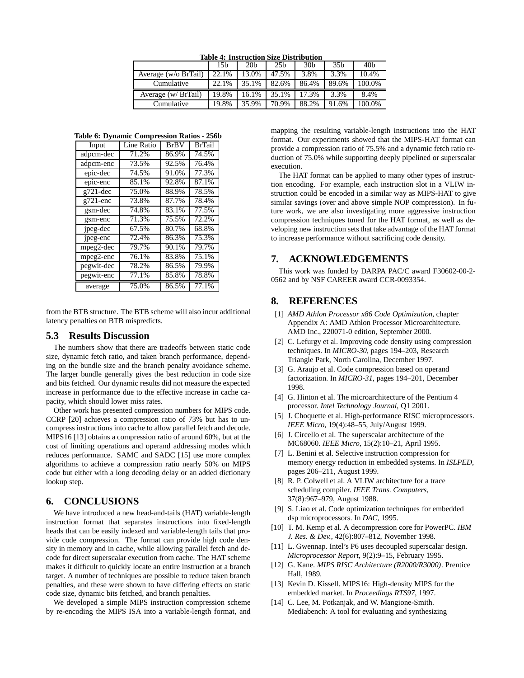|                      | 15b   | 20 <sub>b</sub> | 25 <sub>b</sub> | 30b   | 35 <sub>b</sub> | 40 <sub>b</sub> |
|----------------------|-------|-----------------|-----------------|-------|-----------------|-----------------|
| Average (w/o BrTail) | 22.1% | 13.0%           | 47.5%           | 3.8%  | 3.3%            | 10.4%           |
| Cumulative           | 22.1% | 35.1%           | 82.6%           | 86.4% | 89.6%           | 100.0%          |
| Average (w/ BrTail)  | 19.8% | 16.1%           | 35.1%           | 17.3% | 3.3%            | 8.4%            |
| Cumulative           | 19.8% | 35.9%           | 70.9%           | 88.2% | 91.6%           | 100.0%          |

**Table 4: Instruction Size Distribution**

**Table 6: Dynamic Compression Ratios - 256b**

| Input                  | Line Ratio | <b>BrBV</b> | <b>BrTail</b> |
|------------------------|------------|-------------|---------------|
| adpcm-dec              | 71.2%      | 86.9%       | 74.5%         |
| adpcm-enc              | 73.5%      | 92.5%       | 76.4%         |
| epic-dec               | 74.5%      | 91.0%       | 77.3%         |
| epic-enc               | 85.1%      | 92.8%       | 87.1%         |
| $g721$ -dec            | 75.0%      | 88.9%       | 78.5%         |
| $\overline{g7}$ 21-enc | 73.8%      | 87.7%       | 78.4%         |
| gsm-dec                | 74.8%      | 83.1%       | 77.5%         |
| gsm-enc                | 71.3%      | 75.5%       | 72.2%         |
| jpeg-dec               | 67.5%      | 80.7%       | 68.8%         |
| jpeg-enc               | 72.4%      | 86.3%       | 75.3%         |
| mpeg2-dec              | 79.7%      | 90.1%       | 79.7%         |
| mpeg2-enc              | 76.1%      | 83.8%       | 75.1%         |
| pegwit-dec             | 78.2%      | 86.5%       | 79.9%         |
| pegwit-enc             | 77.1%      | 85.8%       | 78.8%         |
| average                | 75.0%      | 86.5%       | 77.1%         |

from the BTB structure. The BTB scheme will also incur additional latency penalties on BTB mispredicts.

## **5.3 Results Discussion**

The numbers show that there are tradeoffs between static code size, dynamic fetch ratio, and taken branch performance, depending on the bundle size and the branch penalty avoidance scheme. The larger bundle generally gives the best reduction in code size and bits fetched. Our dynamic results did not measure the expected increase in performance due to the effective increase in cache capacity, which should lower miss rates.

Other work has presented compression numbers for MIPS code. CCRP [20] achieves a compression ratio of 73% but has to uncompress instructions into cache to allow parallel fetch and decode. MIPS16 [13] obtains a compression ratio of around 60%, but at the cost of limiting operations and operand addressing modes which reduces performance. SAMC and SADC [15] use more complex algorithms to achieve a compression ratio nearly 50% on MIPS code but either with a long decoding delay or an added dictionary lookup step.

# **6. CONCLUSIONS**

We have introduced a new head-and-tails (HAT) variable-length instruction format that separates instructions into fixed-length heads that can be easily indexed and variable-length tails that provide code compression. The format can provide high code density in memory and in cache, while allowing parallel fetch and decode for direct superscalar execution from cache. The HAT scheme makes it difficult to quickly locate an entire instruction at a branch target. A number of techniques are possible to reduce taken branch penalties, and these were shown to have differing effects on static code size, dynamic bits fetched, and branch penalties.

We developed a simple MIPS instruction compression scheme by re-encoding the MIPS ISA into a variable-length format, and

mapping the resulting variable-length instructions into the HAT format. Our experiments showed that the MIPS-HAT format can provide a compression ratio of 75.5% and a dynamic fetch ratio reduction of 75.0% while supporting deeply pipelined or superscalar execution.

The HAT format can be applied to many other types of instruction encoding. For example, each instruction slot in a VLIW instruction could be encoded in a similar way as MIPS-HAT to give similar savings (over and above simple NOP compression). In future work, we are also investigating more aggressive instruction compression techniques tuned for the HAT format, as well as developing new instruction sets that take advantage of the HAT format to increase performance without sacrificing code density.

## **7. ACKNOWLEDGEMENTS**

This work was funded by DARPA PAC/C award F30602-00-2- 0562 and by NSF CAREER award CCR-0093354.

# **8. REFERENCES**

- [1] *AMD Athlon Processor x86 Code Optimization*, chapter Appendix A: AMD Athlon Processor Microarchitecture. AMD Inc., 220071-0 edition, September 2000.
- [2] C. Lefurgy et al. Improving code density using compression techniques. In *MICRO-30*, pages 194–203, Research Triangle Park, North Carolina, December 1997.
- [3] G. Araujo et al. Code compression based on operand factorization. In *MICRO-31*, pages 194–201, December 1998.
- [4] G. Hinton et al. The microarchitecture of the Pentium 4 processor. *Intel Technology Journal*, Q1 2001.
- [5] J. Choquette et al. High-performance RISC microprocessors. *IEEE Micro*, 19(4):48–55, July/August 1999.
- [6] J. Circello et al. The superscalar architecture of the MC68060. *IEEE Micro*, 15(2):10–21, April 1995.
- [7] L. Benini et al. Selective instruction compression for memory energy reduction in embedded systems. In *ISLPED*, pages 206–211, August 1999.
- [8] R. P. Colwell et al. A VLIW architecture for a trace scheduling compiler. *IEEE Trans. Computers*, 37(8):967–979, August 1988.
- [9] S. Liao et al. Code optimization techniques for embedded dsp microprocessors. In *DAC*, 1995.
- [10] T. M. Kemp et al. A decompression core for PowerPC. *IBM J. Res. & Dev.*, 42(6):807–812, November 1998.
- [11] L. Gwennap. Intel's P6 uses decoupled superscalar design. *Microprocessor Report*, 9(2):9–15, February 1995.
- [12] G. Kane. *MIPS RISC Architecture (R2000/R3000)*. Prentice Hall, 1989.
- [13] Kevin D. Kissell. MIPS16: High-density MIPS for the embedded market. In *Proceedings RTS97*, 1997.
- [14] C. Lee, M. Potkanjak, and W. Mangione-Smith. Mediabench: A tool for evaluating and synthesizing